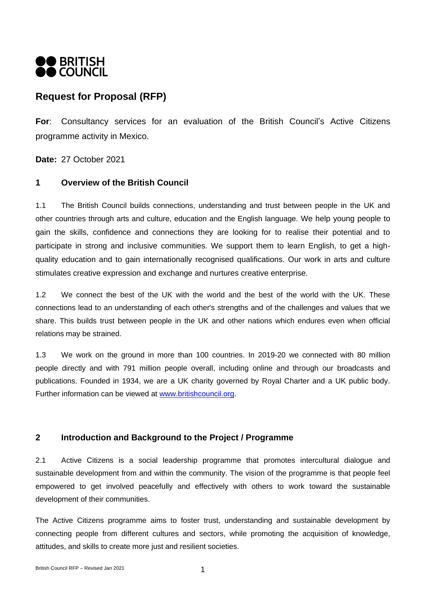

# **Request for Proposal (RFP)**

**For**: Consultancy services for an evaluation of the British Council's Active Citizens programme activity in Mexico.

**Date:** 27 October 2021

## **1 Overview of the British Council**

1.1 The British Council builds connections, understanding and trust between people in the UK and other countries through arts and culture, education and the English language. We help young people to gain the skills, confidence and connections they are looking for to realise their potential and to participate in strong and inclusive communities. We support them to learn English, to get a highquality education and to gain internationally recognised qualifications. Our work in arts and culture stimulates creative expression and exchange and nurtures creative enterprise.

1.2 We connect the best of the UK with the world and the best of the world with the UK. These connections lead to an understanding of each other's strengths and of the challenges and values that we share. This builds trust between people in the UK and other nations which endures even when official relations may be strained.

1.3 We work on the ground in more than 100 countries. In 2019-20 we connected with 80 million people directly and with 791 million people overall, including online and through our broadcasts and publications. Founded in 1934, we are a UK charity governed by Royal Charter and a UK public body. Further information can be viewed at [www.britishcouncil.org.](http://www.britishcouncil.org/)

## **2 Introduction and Background to the Project / Programme**

2.1 Active Citizens is a social leadership programme that promotes intercultural dialogue and sustainable development from and within the community. The vision of the programme is that people feel empowered to get involved peacefully and effectively with others to work toward the sustainable development of their communities.

The Active Citizens programme aims to foster trust, understanding and sustainable development by connecting people from different cultures and sectors, while promoting the acquisition of knowledge, attitudes, and skills to create more just and resilient societies.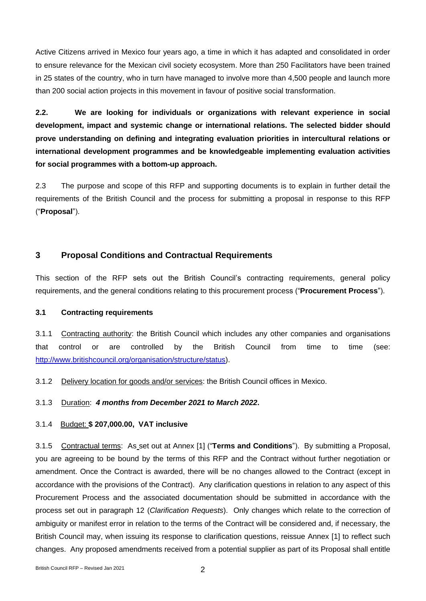Active Citizens arrived in Mexico four years ago, a time in which it has adapted and consolidated in order to ensure relevance for the Mexican civil society ecosystem. More than 250 Facilitators have been trained in 25 states of the country, who in turn have managed to involve more than 4,500 people and launch more than 200 social action projects in this movement in favour of positive social transformation.

**2.2. We are looking for individuals or organizations with relevant experience in social development, impact and systemic change or international relations. The selected bidder should prove understanding on defining and integrating evaluation priorities in intercultural relations or international development programmes and be knowledgeable implementing evaluation activities for social programmes with a bottom-up approach.**

2.3 The purpose and scope of this RFP and supporting documents is to explain in further detail the requirements of the British Council and the process for submitting a proposal in response to this RFP ("**Proposal**").

## **3 Proposal Conditions and Contractual Requirements**

This section of the RFP sets out the British Council's contracting requirements, general policy requirements, and the general conditions relating to this procurement process ("**Procurement Process**").

#### **3.1 Contracting requirements**

3.1.1 Contracting authority: the British Council which includes any other companies and organisations that control or are controlled by the British Council from time to time (see: [http://www.britishcouncil.org/organisation/structure/status\)](http://www.britishcouncil.org/organisation/structure/status).

3.1.2 Delivery location for goods and/or services: the British Council offices in Mexico.

3.1.3 Duration: *4 months from December 2021 to March 2022***.**

### 3.1.4 Budget: **\$ 207,000.00, VAT inclusive**

3.1.5 Contractual terms: As set out at Annex [1] ("**Terms and Conditions**"). By submitting a Proposal, you are agreeing to be bound by the terms of this RFP and the Contract without further negotiation or amendment. Once the Contract is awarded, there will be no changes allowed to the Contract (except in accordance with the provisions of the Contract). Any clarification questions in relation to any aspect of this Procurement Process and the associated documentation should be submitted in accordance with the process set out in paragraph 12 (*Clarification Requests*). Only changes which relate to the correction of ambiguity or manifest error in relation to the terms of the Contract will be considered and, if necessary, the British Council may, when issuing its response to clarification questions, reissue Annex [1] to reflect such changes. Any proposed amendments received from a potential supplier as part of its Proposal shall entitle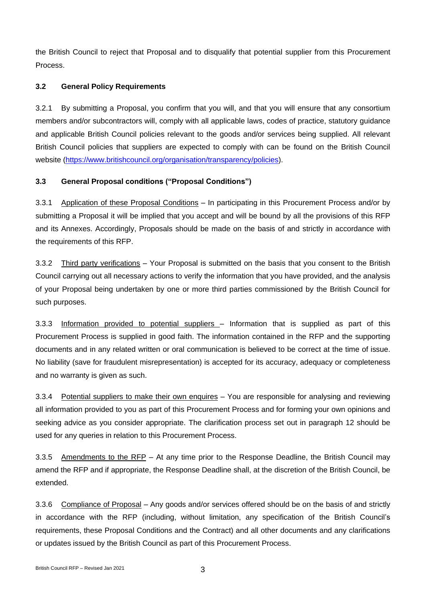the British Council to reject that Proposal and to disqualify that potential supplier from this Procurement Process.

## **3.2 General Policy Requirements**

3.2.1 By submitting a Proposal, you confirm that you will, and that you will ensure that any consortium members and/or subcontractors will, comply with all applicable laws, codes of practice, statutory guidance and applicable British Council policies relevant to the goods and/or services being supplied. All relevant British Council policies that suppliers are expected to comply with can be found on the British Council website [\(https://www.britishcouncil.org/organisation/transparency/policies\)](https://www.britishcouncil.org/organisation/transparency/policies).

## **3.3 General Proposal conditions ("Proposal Conditions")**

3.3.1 Application of these Proposal Conditions – In participating in this Procurement Process and/or by submitting a Proposal it will be implied that you accept and will be bound by all the provisions of this RFP and its Annexes. Accordingly, Proposals should be made on the basis of and strictly in accordance with the requirements of this RFP.

3.3.2 Third party verifications – Your Proposal is submitted on the basis that you consent to the British Council carrying out all necessary actions to verify the information that you have provided, and the analysis of your Proposal being undertaken by one or more third parties commissioned by the British Council for such purposes.

3.3.3 Information provided to potential suppliers - Information that is supplied as part of this Procurement Process is supplied in good faith. The information contained in the RFP and the supporting documents and in any related written or oral communication is believed to be correct at the time of issue. No liability (save for fraudulent misrepresentation) is accepted for its accuracy, adequacy or completeness and no warranty is given as such.

3.3.4 Potential suppliers to make their own enquires – You are responsible for analysing and reviewing all information provided to you as part of this Procurement Process and for forming your own opinions and seeking advice as you consider appropriate. The clarification process set out in paragraph 12 should be used for any queries in relation to this Procurement Process.

3.3.5 Amendments to the RFP – At any time prior to the Response Deadline, the British Council may amend the RFP and if appropriate, the Response Deadline shall, at the discretion of the British Council, be extended.

3.3.6 Compliance of Proposal – Any goods and/or services offered should be on the basis of and strictly in accordance with the RFP (including, without limitation, any specification of the British Council's requirements, these Proposal Conditions and the Contract) and all other documents and any clarifications or updates issued by the British Council as part of this Procurement Process.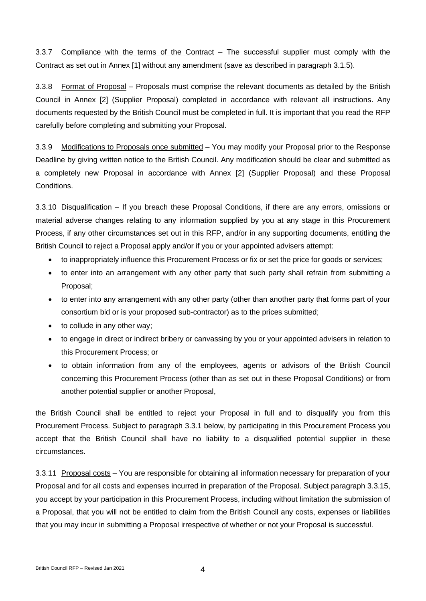3.3.7 Compliance with the terms of the Contract – The successful supplier must comply with the Contract as set out in Annex [1] without any amendment (save as described in paragraph 3.1.5).

3.3.8 Format of Proposal – Proposals must comprise the relevant documents as detailed by the British Council in Annex [2] (Supplier Proposal) completed in accordance with relevant all instructions. Any documents requested by the British Council must be completed in full. It is important that you read the RFP carefully before completing and submitting your Proposal.

3.3.9 Modifications to Proposals once submitted – You may modify your Proposal prior to the Response Deadline by giving written notice to the British Council. Any modification should be clear and submitted as a completely new Proposal in accordance with Annex [2] (Supplier Proposal) and these Proposal Conditions.

3.3.10 Disqualification – If you breach these Proposal Conditions, if there are any errors, omissions or material adverse changes relating to any information supplied by you at any stage in this Procurement Process, if any other circumstances set out in this RFP, and/or in any supporting documents, entitling the British Council to reject a Proposal apply and/or if you or your appointed advisers attempt:

- to inappropriately influence this Procurement Process or fix or set the price for goods or services;
- to enter into an arrangement with any other party that such party shall refrain from submitting a Proposal;
- to enter into any arrangement with any other party (other than another party that forms part of your consortium bid or is your proposed sub-contractor) as to the prices submitted;
- to collude in any other way;
- to engage in direct or indirect bribery or canvassing by you or your appointed advisers in relation to this Procurement Process; or
- to obtain information from any of the employees, agents or advisors of the British Council concerning this Procurement Process (other than as set out in these Proposal Conditions) or from another potential supplier or another Proposal,

the British Council shall be entitled to reject your Proposal in full and to disqualify you from this Procurement Process. Subject to paragraph 3.3.1 below, by participating in this Procurement Process you accept that the British Council shall have no liability to a disqualified potential supplier in these circumstances.

3.3.11 Proposal costs – You are responsible for obtaining all information necessary for preparation of your Proposal and for all costs and expenses incurred in preparation of the Proposal. Subject paragraph 3.3.15, you accept by your participation in this Procurement Process, including without limitation the submission of a Proposal, that you will not be entitled to claim from the British Council any costs, expenses or liabilities that you may incur in submitting a Proposal irrespective of whether or not your Proposal is successful.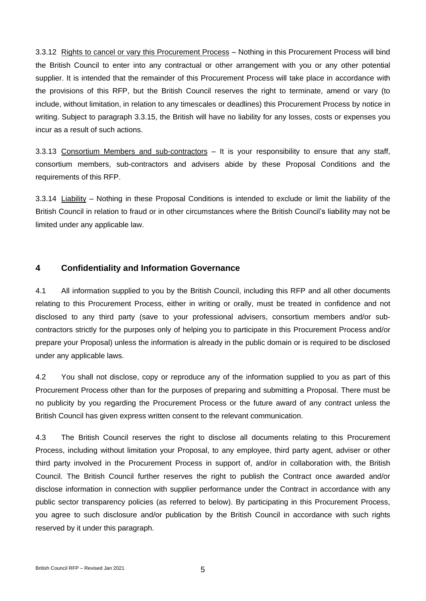3.3.12 Rights to cancel or vary this Procurement Process – Nothing in this Procurement Process will bind the British Council to enter into any contractual or other arrangement with you or any other potential supplier. It is intended that the remainder of this Procurement Process will take place in accordance with the provisions of this RFP, but the British Council reserves the right to terminate, amend or vary (to include, without limitation, in relation to any timescales or deadlines) this Procurement Process by notice in writing. Subject to paragraph 3.3.15, the British will have no liability for any losses, costs or expenses you incur as a result of such actions.

3.3.13 Consortium Members and sub-contractors – It is your responsibility to ensure that any staff, consortium members, sub-contractors and advisers abide by these Proposal Conditions and the requirements of this RFP.

3.3.14 Liability – Nothing in these Proposal Conditions is intended to exclude or limit the liability of the British Council in relation to fraud or in other circumstances where the British Council's liability may not be limited under any applicable law.

## **4 Confidentiality and Information Governance**

4.1 All information supplied to you by the British Council, including this RFP and all other documents relating to this Procurement Process, either in writing or orally, must be treated in confidence and not disclosed to any third party (save to your professional advisers, consortium members and/or subcontractors strictly for the purposes only of helping you to participate in this Procurement Process and/or prepare your Proposal) unless the information is already in the public domain or is required to be disclosed under any applicable laws.

4.2 You shall not disclose, copy or reproduce any of the information supplied to you as part of this Procurement Process other than for the purposes of preparing and submitting a Proposal. There must be no publicity by you regarding the Procurement Process or the future award of any contract unless the British Council has given express written consent to the relevant communication.

4.3 The British Council reserves the right to disclose all documents relating to this Procurement Process, including without limitation your Proposal, to any employee, third party agent, adviser or other third party involved in the Procurement Process in support of, and/or in collaboration with, the British Council. The British Council further reserves the right to publish the Contract once awarded and/or disclose information in connection with supplier performance under the Contract in accordance with any public sector transparency policies (as referred to below). By participating in this Procurement Process, you agree to such disclosure and/or publication by the British Council in accordance with such rights reserved by it under this paragraph.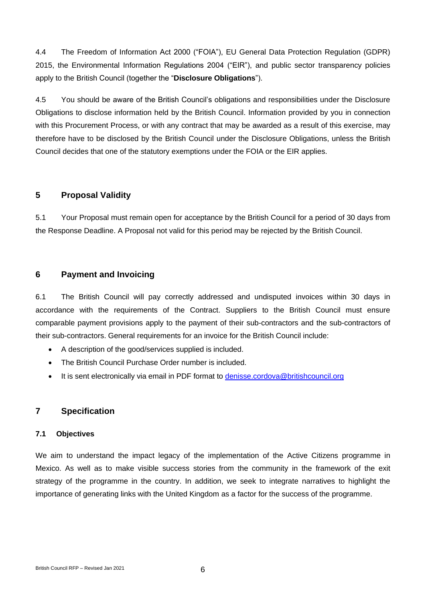4.4 The Freedom of Information Act 2000 ("FOIA"), EU General Data Protection Regulation (GDPR) 2015, the Environmental Information Regulations 2004 ("EIR"), and public sector transparency policies apply to the British Council (together the "**Disclosure Obligations**").

4.5 You should be aware of the British Council's obligations and responsibilities under the Disclosure Obligations to disclose information held by the British Council. Information provided by you in connection with this Procurement Process, or with any contract that may be awarded as a result of this exercise, may therefore have to be disclosed by the British Council under the Disclosure Obligations, unless the British Council decides that one of the statutory exemptions under the FOIA or the EIR applies.

## **5 Proposal Validity**

5.1 Your Proposal must remain open for acceptance by the British Council for a period of 30 days from the Response Deadline. A Proposal not valid for this period may be rejected by the British Council.

## **6 Payment and Invoicing**

6.1 The British Council will pay correctly addressed and undisputed invoices within 30 days in accordance with the requirements of the Contract. Suppliers to the British Council must ensure comparable payment provisions apply to the payment of their sub-contractors and the sub-contractors of their sub-contractors. General requirements for an invoice for the British Council include:

- A description of the good/services supplied is included.
- The British Council Purchase Order number is included.
- It is sent electronically via email in PDF format to [denisse.cordova@britishcouncil.org](mailto:denisse.cordova@britishcouncil.org)

## **7 Specification**

### **7.1 Objectives**

We aim to understand the impact legacy of the implementation of the Active Citizens programme in Mexico. As well as to make visible success stories from the community in the framework of the exit strategy of the programme in the country. In addition, we seek to integrate narratives to highlight the importance of generating links with the United Kingdom as a factor for the success of the programme.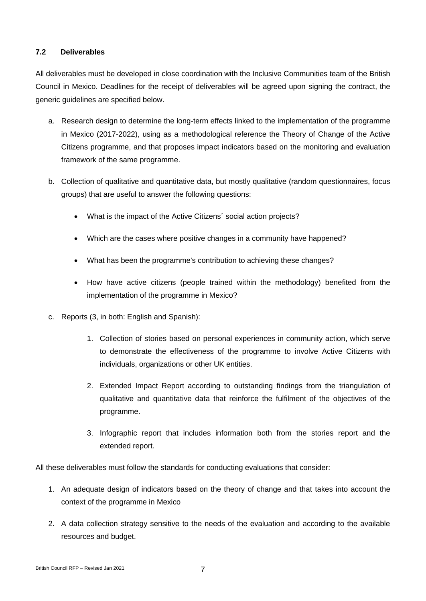#### **7.2 Deliverables**

All deliverables must be developed in close coordination with the Inclusive Communities team of the British Council in Mexico. Deadlines for the receipt of deliverables will be agreed upon signing the contract, the generic guidelines are specified below.

- a. Research design to determine the long-term effects linked to the implementation of the programme in Mexico (2017-2022), using as a methodological reference the Theory of Change of the Active Citizens programme, and that proposes impact indicators based on the monitoring and evaluation framework of the same programme.
- b. Collection of qualitative and quantitative data, but mostly qualitative (random questionnaires, focus groups) that are useful to answer the following questions:
	- What is the impact of the Active Citizens´ social action projects?
	- Which are the cases where positive changes in a community have happened?
	- What has been the programme's contribution to achieving these changes?
	- How have active citizens (people trained within the methodology) benefited from the implementation of the programme in Mexico?
- c. Reports (3, in both: English and Spanish):
	- 1. Collection of stories based on personal experiences in community action, which serve to demonstrate the effectiveness of the programme to involve Active Citizens with individuals, organizations or other UK entities.
	- 2. Extended Impact Report according to outstanding findings from the triangulation of qualitative and quantitative data that reinforce the fulfilment of the objectives of the programme.
	- 3. Infographic report that includes information both from the stories report and the extended report.

All these deliverables must follow the standards for conducting evaluations that consider:

- 1. An adequate design of indicators based on the theory of change and that takes into account the context of the programme in Mexico
- 2. A data collection strategy sensitive to the needs of the evaluation and according to the available resources and budget.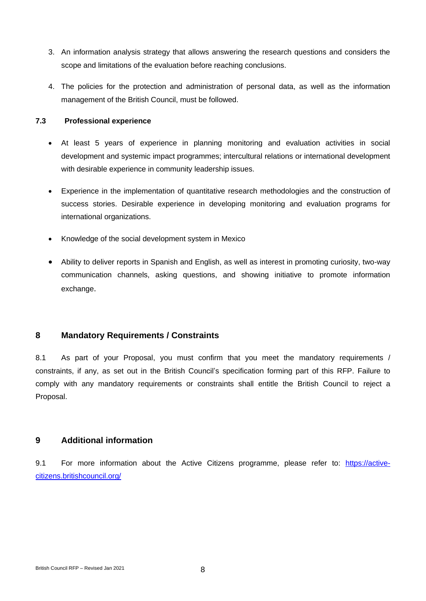- 3. An information analysis strategy that allows answering the research questions and considers the scope and limitations of the evaluation before reaching conclusions.
- 4. The policies for the protection and administration of personal data, as well as the information management of the British Council, must be followed.

#### **7.3 Professional experience**

- At least 5 years of experience in planning monitoring and evaluation activities in social development and systemic impact programmes; intercultural relations or international development with desirable experience in community leadership issues.
- Experience in the implementation of quantitative research methodologies and the construction of success stories. Desirable experience in developing monitoring and evaluation programs for international organizations.
- Knowledge of the social development system in Mexico
- Ability to deliver reports in Spanish and English, as well as interest in promoting curiosity, two-way communication channels, asking questions, and showing initiative to promote information exchange.

## **8 Mandatory Requirements / Constraints**

8.1 As part of your Proposal, you must confirm that you meet the mandatory requirements / constraints, if any, as set out in the British Council's specification forming part of this RFP. Failure to comply with any mandatory requirements or constraints shall entitle the British Council to reject a Proposal.

### **9 Additional information**

9.1 For more information about the Active Citizens programme, please refer to: [https://active](https://active-citizens.britishcouncil.org/)[citizens.britishcouncil.org/](https://active-citizens.britishcouncil.org/)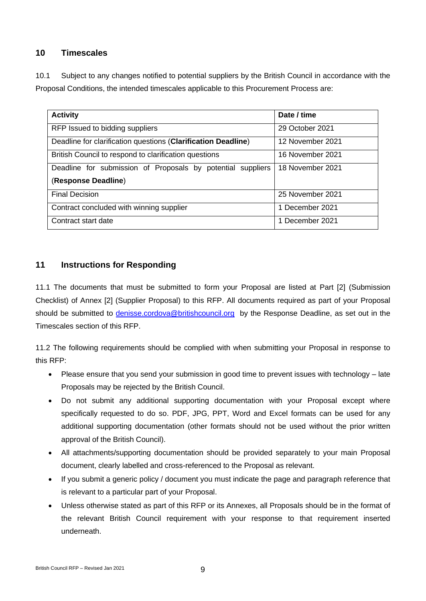## **10 Timescales**

10.1 Subject to any changes notified to potential suppliers by the British Council in accordance with the Proposal Conditions, the intended timescales applicable to this Procurement Process are:

| <b>Activity</b>                                               | Date / time      |
|---------------------------------------------------------------|------------------|
| RFP Issued to bidding suppliers                               | 29 October 2021  |
| Deadline for clarification questions (Clarification Deadline) | 12 November 2021 |
| British Council to respond to clarification questions         | 16 November 2021 |
| Deadline for submission of Proposals by potential suppliers   | 18 November 2021 |
| (Response Deadline)                                           |                  |
| <b>Final Decision</b>                                         | 25 November 2021 |
| Contract concluded with winning supplier                      | 1 December 2021  |
| Contract start date                                           | 1 December 2021  |

## **11 Instructions for Responding**

11.1 The documents that must be submitted to form your Proposal are listed at Part [2] (Submission Checklist) of Annex [2] (Supplier Proposal) to this RFP. All documents required as part of your Proposal should be submitted to [denisse.cordova@britishcouncil.org](mailto:denisse.cordova@britishcouncil.org) by the Response Deadline, as set out in the Timescales section of this RFP.

11.2 The following requirements should be complied with when submitting your Proposal in response to this RFP:

- Please ensure that you send your submission in good time to prevent issues with technology late Proposals may be rejected by the British Council.
- Do not submit any additional supporting documentation with your Proposal except where specifically requested to do so. PDF, JPG, PPT, Word and Excel formats can be used for any additional supporting documentation (other formats should not be used without the prior written approval of the British Council).
- All attachments/supporting documentation should be provided separately to your main Proposal document, clearly labelled and cross-referenced to the Proposal as relevant.
- If you submit a generic policy / document you must indicate the page and paragraph reference that is relevant to a particular part of your Proposal.
- Unless otherwise stated as part of this RFP or its Annexes, all Proposals should be in the format of the relevant British Council requirement with your response to that requirement inserted underneath.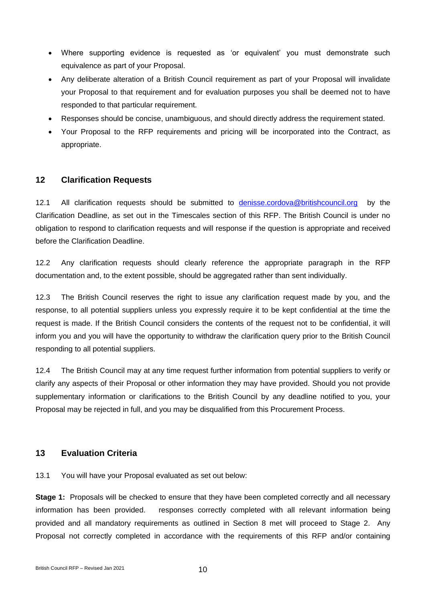- Where supporting evidence is requested as 'or equivalent' you must demonstrate such equivalence as part of your Proposal.
- Any deliberate alteration of a British Council requirement as part of your Proposal will invalidate your Proposal to that requirement and for evaluation purposes you shall be deemed not to have responded to that particular requirement.
- Responses should be concise, unambiguous, and should directly address the requirement stated.
- Your Proposal to the RFP requirements and pricing will be incorporated into the Contract, as appropriate.

### **12 Clarification Requests**

12.1 All clarification requests should be submitted to [denisse.cordova@britishcouncil.org](mailto:denisse.cordova@britishcouncil.org) by the Clarification Deadline, as set out in the Timescales section of this RFP. The British Council is under no obligation to respond to clarification requests and will response if the question is appropriate and received before the Clarification Deadline.

12.2 Any clarification requests should clearly reference the appropriate paragraph in the RFP documentation and, to the extent possible, should be aggregated rather than sent individually.

12.3 The British Council reserves the right to issue any clarification request made by you, and the response, to all potential suppliers unless you expressly require it to be kept confidential at the time the request is made. If the British Council considers the contents of the request not to be confidential, it will inform you and you will have the opportunity to withdraw the clarification query prior to the British Council responding to all potential suppliers.

12.4 The British Council may at any time request further information from potential suppliers to verify or clarify any aspects of their Proposal or other information they may have provided. Should you not provide supplementary information or clarifications to the British Council by any deadline notified to you, your Proposal may be rejected in full, and you may be disqualified from this Procurement Process.

## **13 Evaluation Criteria**

13.1 You will have your Proposal evaluated as set out below:

**Stage 1:** Proposals will be checked to ensure that they have been completed correctly and all necessary information has been provided. responses correctly completed with all relevant information being provided and all mandatory requirements as outlined in Section 8 met will proceed to Stage 2. Any Proposal not correctly completed in accordance with the requirements of this RFP and/or containing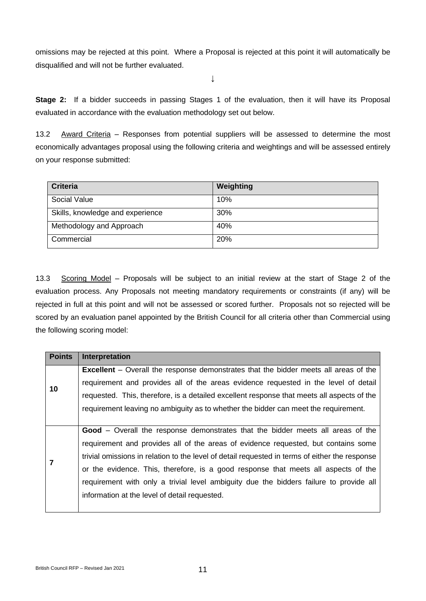omissions may be rejected at this point. Where a Proposal is rejected at this point it will automatically be disqualified and will not be further evaluated.

↓

**Stage 2:** If a bidder succeeds in passing Stages 1 of the evaluation, then it will have its Proposal evaluated in accordance with the evaluation methodology set out below.

13.2 Award Criteria – Responses from potential suppliers will be assessed to determine the most economically advantages proposal using the following criteria and weightings and will be assessed entirely on your response submitted:

| <b>Criteria</b>                  | Weighting |
|----------------------------------|-----------|
| Social Value                     | 10%       |
| Skills, knowledge and experience | 30%       |
| Methodology and Approach         | 40%       |
| Commercial                       | 20%       |

13.3 Scoring Model – Proposals will be subject to an initial review at the start of Stage 2 of the evaluation process. Any Proposals not meeting mandatory requirements or constraints (if any) will be rejected in full at this point and will not be assessed or scored further. Proposals not so rejected will be scored by an evaluation panel appointed by the British Council for all criteria other than Commercial using the following scoring model:

| <b>Points</b> | Interpretation                                                                                 |
|---------------|------------------------------------------------------------------------------------------------|
| 10            | <b>Excellent</b> – Overall the response demonstrates that the bidder meets all areas of the    |
|               | requirement and provides all of the areas evidence requested in the level of detail            |
|               | requested. This, therefore, is a detailed excellent response that meets all aspects of the     |
|               | requirement leaving no ambiguity as to whether the bidder can meet the requirement.            |
|               |                                                                                                |
|               | <b>Good</b> – Overall the response demonstrates that the bidder meets all areas of the         |
|               | requirement and provides all of the areas of evidence requested, but contains some             |
|               | trivial omissions in relation to the level of detail requested in terms of either the response |
|               | or the evidence. This, therefore, is a good response that meets all aspects of the             |
|               | requirement with only a trivial level ambiguity due the bidders failure to provide all         |
|               | information at the level of detail requested.                                                  |
|               |                                                                                                |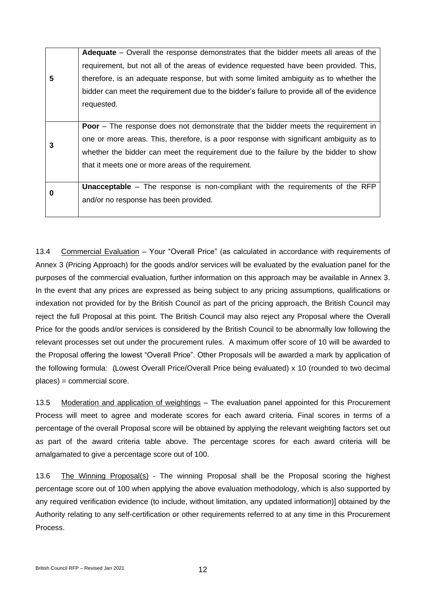**5 Adequate** – Overall the response demonstrates that the bidder meets all areas of the requirement, but not all of the areas of evidence requested have been provided. This, therefore, is an adequate response, but with some limited ambiguity as to whether the bidder can meet the requirement due to the bidder's failure to provide all of the evidence requested. **3 Poor** – The response does not demonstrate that the bidder meets the requirement in one or more areas. This, therefore, is a poor response with significant ambiguity as to whether the bidder can meet the requirement due to the failure by the bidder to show that it meets one or more areas of the requirement. **0 Unacceptable** – The response is non-compliant with the requirements of the RFP and/or no response has been provided.

13.4 Commercial Evaluation – Your "Overall Price" (as calculated in accordance with requirements of Annex 3 (Pricing Approach) for the goods and/or services will be evaluated by the evaluation panel for the purposes of the commercial evaluation, further information on this approach may be available in Annex 3. In the event that any prices are expressed as being subject to any pricing assumptions, qualifications or indexation not provided for by the British Council as part of the pricing approach, the British Council may reject the full Proposal at this point. The British Council may also reject any Proposal where the Overall Price for the goods and/or services is considered by the British Council to be abnormally low following the relevant processes set out under the procurement rules. A maximum offer score of 10 will be awarded to the Proposal offering the lowest "Overall Price". Other Proposals will be awarded a mark by application of the following formula: (Lowest Overall Price/Overall Price being evaluated) x 10 (rounded to two decimal places) = commercial score.

13.5 Moderation and application of weightings – The evaluation panel appointed for this Procurement Process will meet to agree and moderate scores for each award criteria. Final scores in terms of a percentage of the overall Proposal score will be obtained by applying the relevant weighting factors set out as part of the award criteria table above. The percentage scores for each award criteria will be amalgamated to give a percentage score out of 100.

13.6 The Winning Proposal(s) - The winning Proposal shall be the Proposal scoring the highest percentage score out of 100 when applying the above evaluation methodology, which is also supported by any required verification evidence (to include, without limitation, any updated information)] obtained by the Authority relating to any self-certification or other requirements referred to at any time in this Procurement Process.